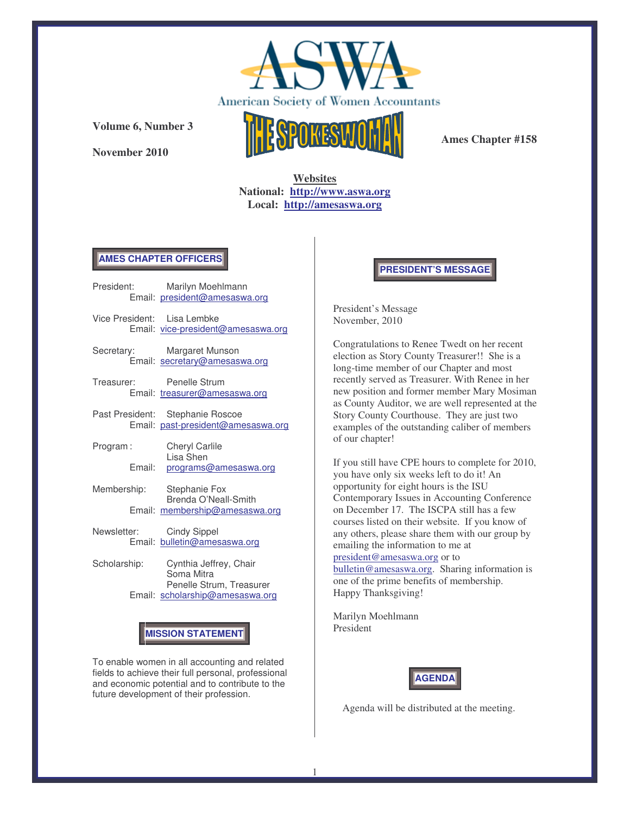

**November 2010**



**Ames Chapter #158**

**Websites National: http://www.aswa.org Local: http://amesaswa.org**

### **AMES CHAPTER OFFICERS**

- President: Marilyn Moehlmann Email: president@amesaswa.org
- Vice President: Lisa Lembke Email: vice-president@amesaswa.org
- Secretary: Margaret Munson Email: secretary@amesaswa.org
- Treasurer: Penelle Strum Email: treasurer@amesaswa.org
- Past President: Stephanie Roscoe Email: past-president@amesaswa.org
- Program : Cheryl Carlile Lisa Shen Email: programs@amesaswa.org
- Membership: Stephanie Fox Brenda O'Neall-Smith Email: membership@amesaswa.org
- Newsletter: Cindy Sippel Email: bulletin@amesaswa.org
- Scholarship: Cynthia Jeffrey, Chair Soma Mitra Penelle Strum, Treasurer Email: scholarship@amesaswa.org

# **MISSION STATEMENT**

To enable women in all accounting and related fields to achieve their full personal, professional and economic potential and to contribute to the future development of their profession.

**PRESIDENT'S MESSAGE**

President's Message November, 2010

Congratulations to Renee Twedt on her recent election as Story County Treasurer!! She is a long-time member of our Chapter and most recently served as Treasurer. With Renee in her new position and former member Mary Mosiman as County Auditor, we are well represented at the Story County Courthouse. They are just two examples of the outstanding caliber of members of our chapter!

If you still have CPE hours to complete for 2010, you have only six weeks left to do it! An opportunity for eight hours is the ISU Contemporary Issues in Accounting Conference on December 17. The ISCPA still has a few courses listed on their website. If you know of any others, please share them with our group by emailing the information to me at president@amesaswa.org or to bulletin@amesaswa.org. Sharing information is one of the prime benefits of membership. Happy Thanksgiving!

Marilyn Moehlmann

President



Agenda will be distributed at the meeting.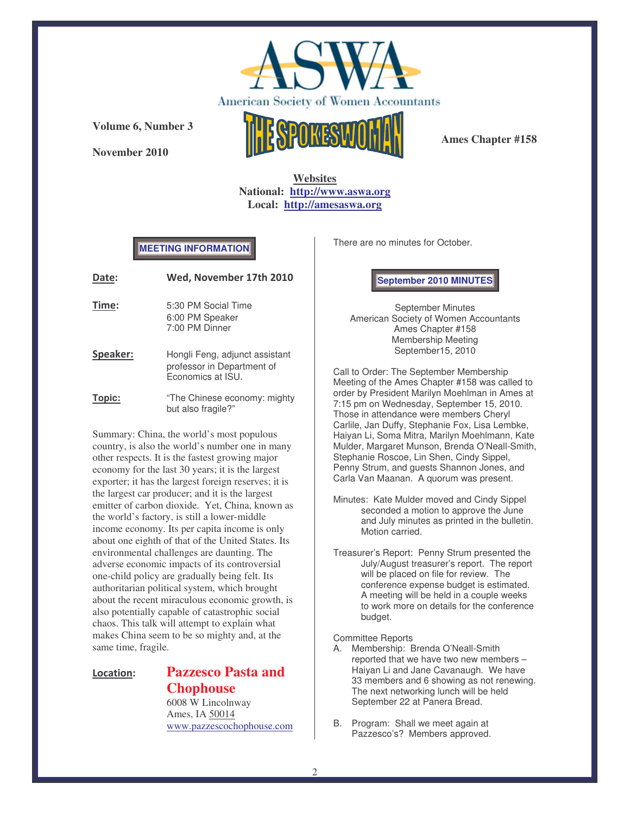

**November 2010**



**Ames Chapter #158**

**Websites National: http://www.aswa.org Local: http://amesaswa.org**

### **MEETING INFORMATION**

| Date:    | Wed, November 17th 2010                                                           |
|----------|-----------------------------------------------------------------------------------|
| Time:    | 5:30 PM Social Time<br>6:00 PM Speaker<br>7:00 PM Dinner                          |
| Speaker: | Hongli Feng, adjunct assistant<br>professor in Department of<br>Economics at ISU. |
| Topic:   | "The Chinese economy: mighty<br>but also fragile?"                                |

Summary: China, the world's most populous country, is also the world's number one in many other respects. It is the fastest growing major economy for the last 30 years; it is the largest exporter; it has the largest foreign reserves; it is the largest car producer; and it is the largest emitter of carbon dioxide. Yet, China, known as the world's factory, is still a lower-middle income economy. Its per capita income is only about one eighth of that of the United States. Its environmental challenges are daunting. The adverse economic impacts of its controversial one-child policy are gradually being felt. Its authoritarian political system, which brought about the recent miraculous economic growth, is also potentially capable of catastrophic social chaos. This talk will attempt to explain what makes China seem to be so mighty and, at the same time, fragile.

### Location:

# **Pazzesco Pasta and Chophouse**

6008 W Lincolnway Ames, IA 50014 www.pazzescochophouse.com There are no minutes for October.

**September 2010 MINUTES**

September Minutes American Society of Women Accountants Ames Chapter #158 Membership Meeting September15, 2010

Call to Order: The September Membership Meeting of the Ames Chapter #158 was called to order by President Marilyn Moehlman in Ames at 7:15 pm on Wednesday, September 15, 2010. Those in attendance were members Cheryl Carlile, Jan Duffy, Stephanie Fox, Lisa Lembke, Haiyan Li, Soma Mitra, Marilyn Moehlmann, Kate Mulder, Margaret Munson, Brenda O'Neall-Smith, Stephanie Roscoe, Lin Shen, Cindy Sippel, Penny Strum, and guests Shannon Jones, and Carla Van Maanan. A quorum was present.

- Minutes: Kate Mulder moved and Cindy Sippel seconded a motion to approve the June and July minutes as printed in the bulletin. Motion carried.
- Treasurer's Report: Penny Strum presented the July/August treasurer's report. The report will be placed on file for review. The conference expense budget is estimated. A meeting will be held in a couple weeks to work more on details for the conference budget.

#### Committee Reports

- A. Membership: Brenda O'Neall-Smith reported that we have two new members – Haiyan Li and Jane Cavanaugh. We have 33 members and 6 showing as not renewing. The next networking lunch will be held September 22 at Panera Bread.
- B. Program: Shall we meet again at Pazzesco's? Members approved.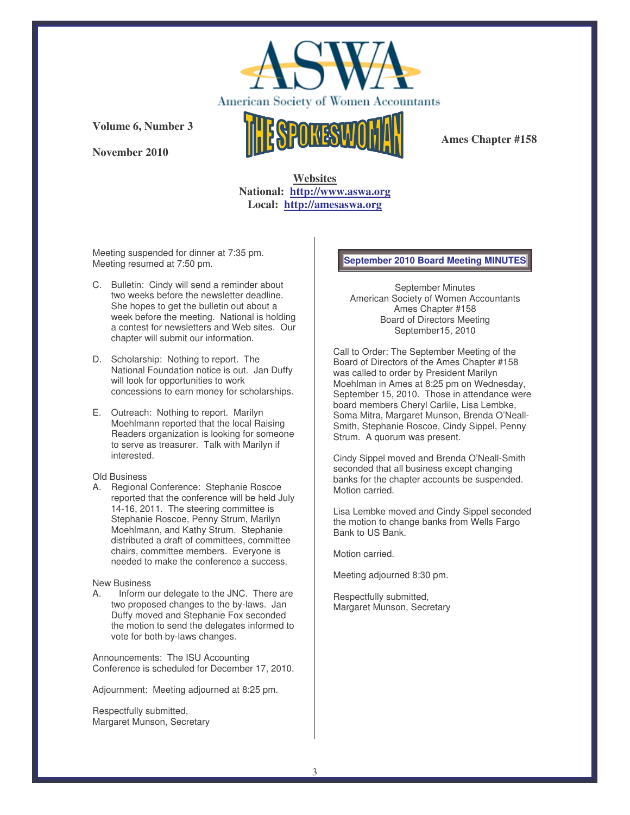

**November 2010**



**Ames Chapter #158**

## **Websites National: http://www.aswa.org Local: http://amesaswa.org**

Meeting suspended for dinner at 7:35 pm. Meeting resumed at 7:50 pm.

- C. Bulletin: Cindy will send a reminder about two weeks before the newsletter deadline. She hopes to get the bulletin out about a week before the meeting. National is holding a contest for newsletters and Web sites. Our chapter will submit our information.
- D. Scholarship: Nothing to report. The National Foundation notice is out. Jan Duffy will look for opportunities to work concessions to earn money for scholarships.
- E. Outreach: Nothing to report. Marilyn Moehlmann reported that the local Raising Readers organization is looking for someone to serve as treasurer. Talk with Marilyn if interested.

#### Old Business

A. Regional Conference: Stephanie Roscoe reported that the conference will be held July 14-16, 2011. The steering committee is Stephanie Roscoe, Penny Strum, Marilyn Moehlmann, and Kathy Strum. Stephanie distributed a draft of committees, committee chairs, committee members. Everyone is needed to make the conference a success.

#### New Business

A. Inform our delegate to the JNC. There are two proposed changes to the by-laws. Jan Duffy moved and Stephanie Fox seconded the motion to send the delegates informed to vote for both by-laws changes.

Announcements: The ISU Accounting Conference is scheduled for December 17, 2010.

Adjournment: Meeting adjourned at 8:25 pm.

Respectfully submitted, Margaret Munson, Secretary

### **September 2010 Board Meeting MINUTES**

September Minutes American Society of Women Accountants Ames Chapter #158 Board of Directors Meeting September15, 2010

Call to Order: The September Meeting of the Board of Directors of the Ames Chapter #158 was called to order by President Marilyn Moehlman in Ames at 8:25 pm on Wednesday, September 15, 2010. Those in attendance were board members Cheryl Carlile, Lisa Lembke, Soma Mitra, Margaret Munson, Brenda O'Neall-Smith, Stephanie Roscoe, Cindy Sippel, Penny Strum. A quorum was present.

Cindy Sippel moved and Brenda O'Neall-Smith seconded that all business except changing banks for the chapter accounts be suspended. Motion carried.

Lisa Lembke moved and Cindy Sippel seconded the motion to change banks from Wells Fargo Bank to US Bank.

Motion carried.

Meeting adjourned 8:30 pm.

Respectfully submitted, Margaret Munson, Secretary